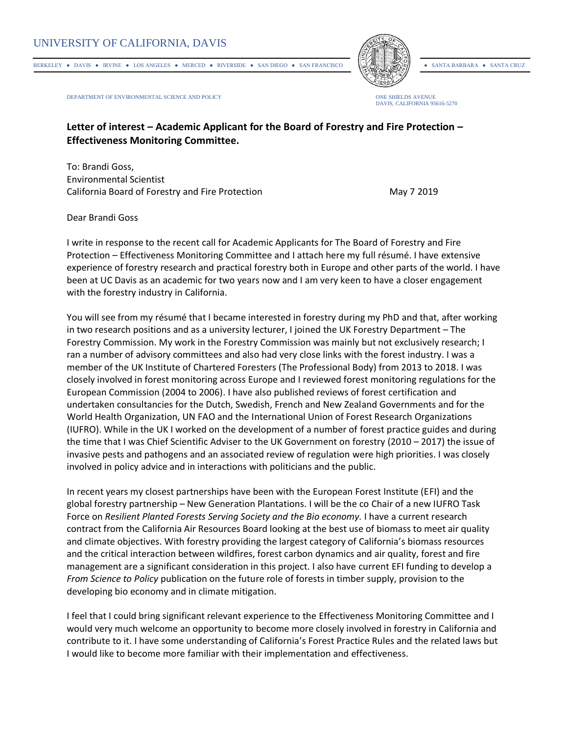BERKELEY • DAVIS • IRVINE • LOS ANGELES • MERCED • RIVERSIDE • SAN DIEGO • SAN FRANCISCO • SANTA BARBARA • SANTA CRUZ



DEPARTMENT OF ENVIRONMENTAL SCIENCE AND POLICY ONE SHIELDS AVENUE



## **Letter of interest – Academic Applicant for the Board of Forestry and Fire Protection – Effectiveness Monitoring Committee.**

To: Brandi Goss, Environmental Scientist California Board of Forestry and Fire Protection **May 7 2019** May 7 2019

Dear Brandi Goss

I write in response to the recent call for Academic Applicants for The Board of Forestry and Fire Protection – Effectiveness Monitoring Committee and I attach here my full résumé. I have extensive experience of forestry research and practical forestry both in Europe and other parts of the world. I have been at UC Davis as an academic for two years now and I am very keen to have a closer engagement with the forestry industry in California.

You will see from my résumé that I became interested in forestry during my PhD and that, after working in two research positions and as a university lecturer, I joined the UK Forestry Department – The Forestry Commission. My work in the Forestry Commission was mainly but not exclusively research; I ran a number of advisory committees and also had very close links with the forest industry. I was a member of the UK Institute of Chartered Foresters (The Professional Body) from 2013 to 2018. I was closely involved in forest monitoring across Europe and I reviewed forest monitoring regulations for the European Commission (2004 to 2006). I have also published reviews of forest certification and undertaken consultancies for the Dutch, Swedish, French and New Zealand Governments and for the World Health Organization, UN FAO and the International Union of Forest Research Organizations (IUFRO). While in the UK I worked on the development of a number of forest practice guides and during the time that I was Chief Scientific Adviser to the UK Government on forestry (2010 – 2017) the issue of invasive pests and pathogens and an associated review of regulation were high priorities. I was closely involved in policy advice and in interactions with politicians and the public.

In recent years my closest partnerships have been with the European Forest Institute (EFI) and the global forestry partnership – New Generation Plantations. I will be the co Chair of a new IUFRO Task Force on *Resilient Planted Forests Serving Society and the Bio economy.* I have a current research contract from the California Air Resources Board looking at the best use of biomass to meet air quality and climate objectives. With forestry providing the largest category of California's biomass resources and the critical interaction between wildfires, forest carbon dynamics and air quality, forest and fire management are a significant consideration in this project. I also have current EFI funding to develop a *From Science to Policy* publication on the future role of forests in timber supply, provision to the developing bio economy and in climate mitigation.

I feel that I could bring significant relevant experience to the Effectiveness Monitoring Committee and I would very much welcome an opportunity to become more closely involved in forestry in California and contribute to it. I have some understanding of California's Forest Practice Rules and the related laws but I would like to become more familiar with their implementation and effectiveness.